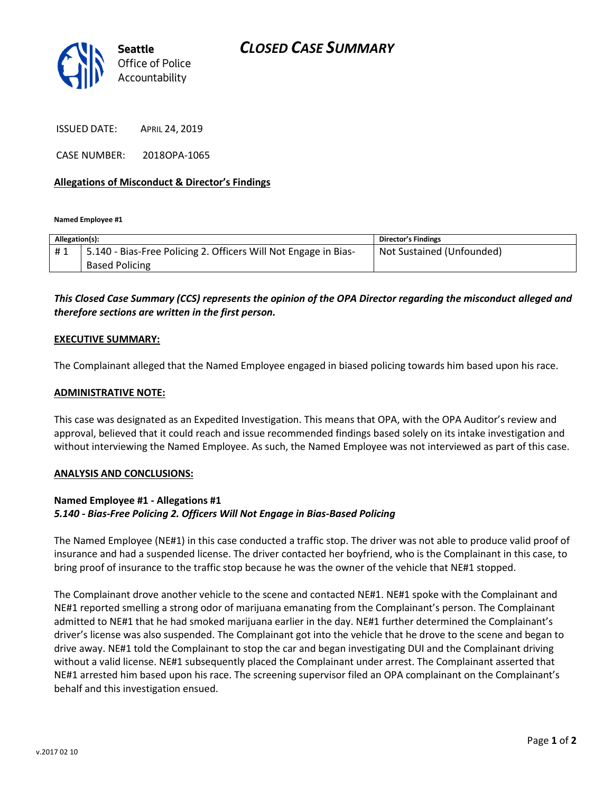

ISSUED DATE: APRIL 24, 2019

CASE NUMBER: 2018OPA-1065

## **Allegations of Misconduct & Director's Findings**

**Named Employee #1**

| Allegation(s): |                                                                 | Director's Findings       |
|----------------|-----------------------------------------------------------------|---------------------------|
| #1             | 5.140 - Bias-Free Policing 2. Officers Will Not Engage in Bias- | Not Sustained (Unfounded) |
|                | <b>Based Policing</b>                                           |                           |
|                |                                                                 |                           |

*This Closed Case Summary (CCS) represents the opinion of the OPA Director regarding the misconduct alleged and therefore sections are written in the first person.* 

#### **EXECUTIVE SUMMARY:**

The Complainant alleged that the Named Employee engaged in biased policing towards him based upon his race.

## **ADMINISTRATIVE NOTE:**

This case was designated as an Expedited Investigation. This means that OPA, with the OPA Auditor's review and approval, believed that it could reach and issue recommended findings based solely on its intake investigation and without interviewing the Named Employee. As such, the Named Employee was not interviewed as part of this case.

#### **ANALYSIS AND CONCLUSIONS:**

## **Named Employee #1 - Allegations #1** *5.140 - Bias-Free Policing 2. Officers Will Not Engage in Bias-Based Policing*

The Named Employee (NE#1) in this case conducted a traffic stop. The driver was not able to produce valid proof of insurance and had a suspended license. The driver contacted her boyfriend, who is the Complainant in this case, to bring proof of insurance to the traffic stop because he was the owner of the vehicle that NE#1 stopped.

The Complainant drove another vehicle to the scene and contacted NE#1. NE#1 spoke with the Complainant and NE#1 reported smelling a strong odor of marijuana emanating from the Complainant's person. The Complainant admitted to NE#1 that he had smoked marijuana earlier in the day. NE#1 further determined the Complainant's driver's license was also suspended. The Complainant got into the vehicle that he drove to the scene and began to drive away. NE#1 told the Complainant to stop the car and began investigating DUI and the Complainant driving without a valid license. NE#1 subsequently placed the Complainant under arrest. The Complainant asserted that NE#1 arrested him based upon his race. The screening supervisor filed an OPA complainant on the Complainant's behalf and this investigation ensued.